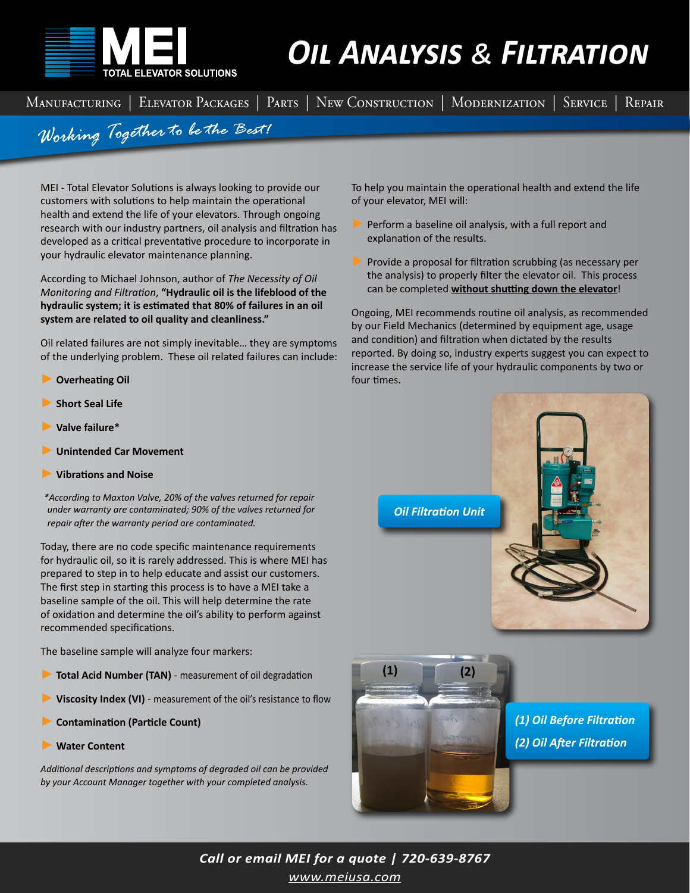

## *Oil Analysis & Filtration*

Manufacturing | Elevator Packages | Parts | New Construction | Modernization | Service | Repair

Working Together to be the Best!

MEI - Total Elevator Solutions is always looking to provide our customers with solutions to help maintain the operational health and extend the life of your elevators. Through ongoing research with our industry partners, oil analysis and filtration has developed as a critical preventative procedure to incorporate in your hydraulic elevator maintenance planning.

According to Michael Johnson, author of *The Necessity of Oil Monitoring and Filtration*, **"Hydraulic oil is the lifeblood of the hydraulic system; it is estimated that 80% of failures in an oil system are related to oil quality and cleanliness."**

Oil related failures are not simply inevitable… they are symptoms of the underlying problem. These oil related failures can include:

- ► **Overheating Oil**
- ► **Short Seal Life**
- ► **Valve failure\***
- ► **Unintended Car Movement**
- ► **Vibrations and Noise**

*\*According to Maxton Valve, 20% of the valves returned for repair under warranty are contaminated; 90% of the valves returned for repair after the warranty period are contaminated.*

Today, there are no code specific maintenance requirements for hydraulic oil, so it is rarely addressed. This is where MEI has prepared to step in to help educate and assist our customers. The first step in starting this process is to have a MEI take a baseline sample of the oil. This will help determine the rate of oxidation and determine the oil's ability to perform against recommended specifications.

The baseline sample will analyze four markers:

- Total Acid Number (TAN) measurement of oil degradation
- Viscosity Index (VI) measurement of the oil's resistance to flow
- ► **Contamination (Particle Count)**
- ► **Water Content**

*Additional descriptions and symptoms of degraded oil can be provided by your Account Manager together with your completed analysis.*

To help you maintain the operational health and extend the life of your elevator, MEI will:

- Perform a baseline oil analysis, with a full report and explanation of the results.
- Provide a proposal for filtration scrubbing (as necessary per the analysis) to properly filter the elevator oil. This process can be completed **without shutting down the elevator**!

Ongoing, MEI recommends routine oil analysis, as recommended by our Field Mechanics (determined by equipment age, usage and condition) and filtration when dictated by the results reported. By doing so, industry experts suggest you can expect to increase the service life of your hydraulic components by two or four times.





*[www.meiusa.com](https://www.meiusa.com/services/service-locations/mei-colorado/) Call or email MEI for a quote | 720-639-8767*